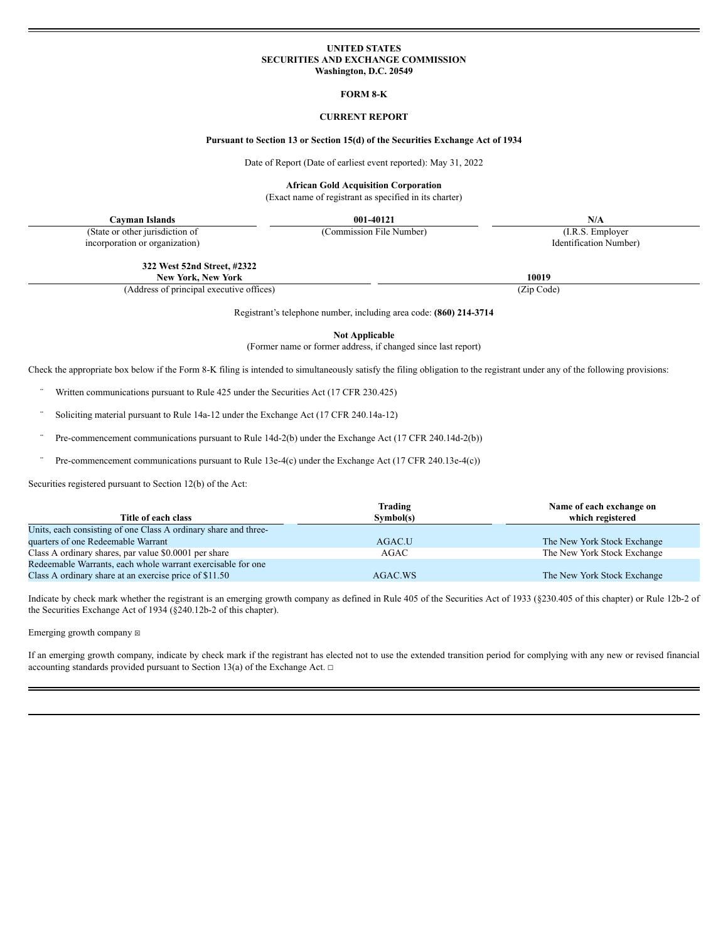### **UNITED STATES SECURITIES AND EXCHANGE COMMISSION Washington, D.C. 20549**

#### **FORM 8-K**

## **CURRENT REPORT**

#### **Pursuant to Section 13 or Section 15(d) of the Securities Exchange Act of 1934**

Date of Report (Date of earliest event reported): May 31, 2022

**African Gold Acquisition Corporation**

(Exact name of registrant as specified in its charter)

**Cayman Islands 001-40121 N/A** (State or other jurisdiction of incorporation or organization)

(Commission File Number) (I.R.S. Employer Identification Number)

**322 West 52nd Street, #2322**

**New York, New York 10019**

(Address of principal executive offices) (Zip Code)

Registrant's telephone number, including area code: **(860) 214-3714**

**Not Applicable**

(Former name or former address, if changed since last report)

Check the appropriate box below if the Form 8-K filing is intended to simultaneously satisfy the filing obligation to the registrant under any of the following provisions:

- Written communications pursuant to Rule 425 under the Securities Act (17 CFR 230.425)
- Soliciting material pursuant to Rule 14a-12 under the Exchange Act (17 CFR 240.14a-12)
- Pre-commencement communications pursuant to Rule 14d-2(b) under the Exchange Act (17 CFR 240.14d-2(b))
- Pre-commencement communications pursuant to Rule 13e-4(c) under the Exchange Act (17 CFR 240.13e-4(c))

Securities registered pursuant to Section 12(b) of the Act:

|                                                                 | Trading   | Name of each exchange on    |
|-----------------------------------------------------------------|-----------|-----------------------------|
| Title of each class                                             | Symbol(s) | which registered            |
| Units, each consisting of one Class A ordinary share and three- |           |                             |
| quarters of one Redeemable Warrant                              | AGAC.U    | The New York Stock Exchange |
| Class A ordinary shares, par value \$0.0001 per share           | AGAC      | The New York Stock Exchange |
| Redeemable Warrants, each whole warrant exercisable for one     |           |                             |
| Class A ordinary share at an exercise price of \$11.50          | AGAC.WS   | The New York Stock Exchange |

Indicate by check mark whether the registrant is an emerging growth company as defined in Rule 405 of the Securities Act of 1933 (§230.405 of this chapter) or Rule 12b-2 of the Securities Exchange Act of 1934 (§240.12b-2 of this chapter).

Emerging growth company  $\boxtimes$ 

If an emerging growth company, indicate by check mark if the registrant has elected not to use the extended transition period for complying with any new or revised financial accounting standards provided pursuant to Section 13(a) of the Exchange Act.  $\Box$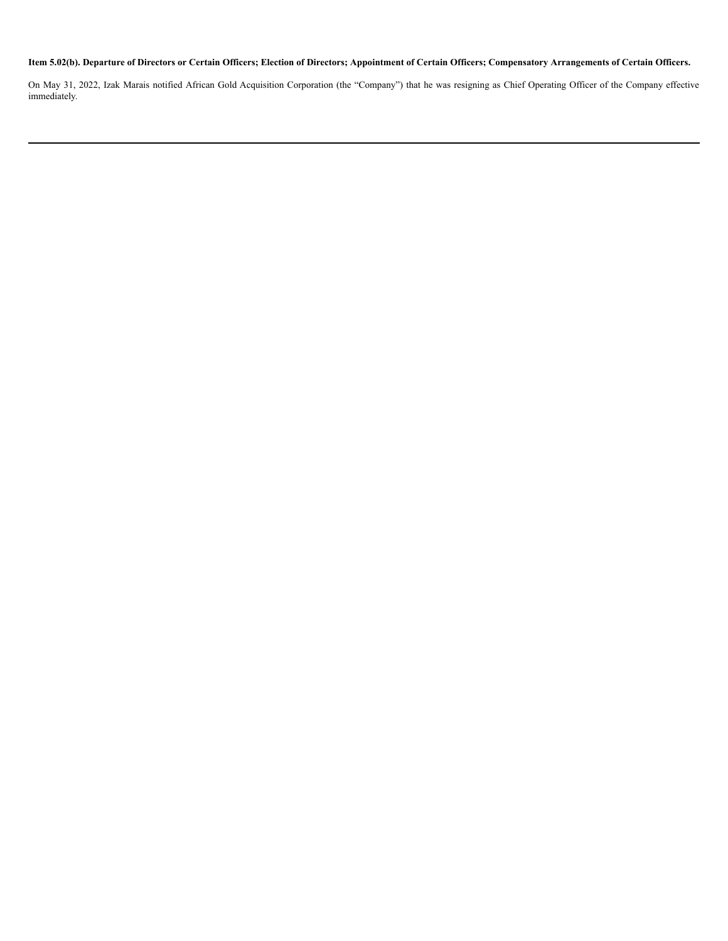# Item 5.02(b). Departure of Directors or Certain Officers; Election of Directors; Appointment of Certain Officers; Compensatory Arrangements of Certain Officers.

On May 31, 2022, Izak Marais notified African Gold Acquisition Corporation (the "Company") that he was resigning as Chief Operating Officer of the Company effective immediately.